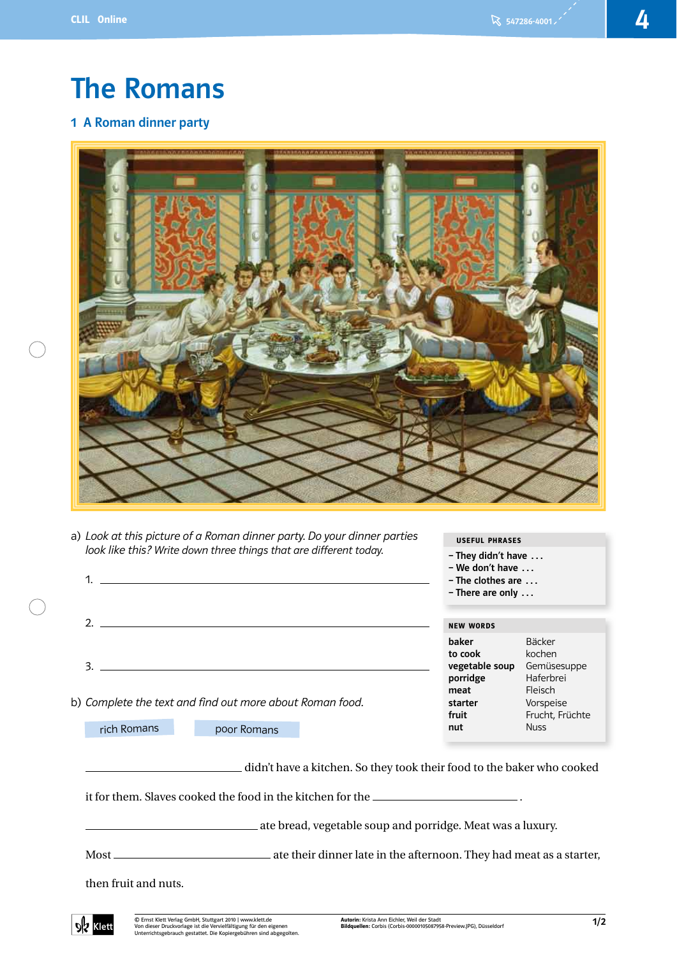# The Romans

# 1 A Roman dinner party



a) Look at this picture of a Roman dinner party. Do your dinner parties look like this? Write down three things that are different today.



rich Romans poor Romans

didn't have a kitchen. So they took their food to the baker who cooked

USEFUL PHRASES – They didn't have …

it for them. Slaves cooked the food in the kitchen for the .

ate bread, vegetable soup and porridge. Meat was a luxury.

Most ate their dinner late in the afternoon. They had meat as a starter,

then fruit and nuts.